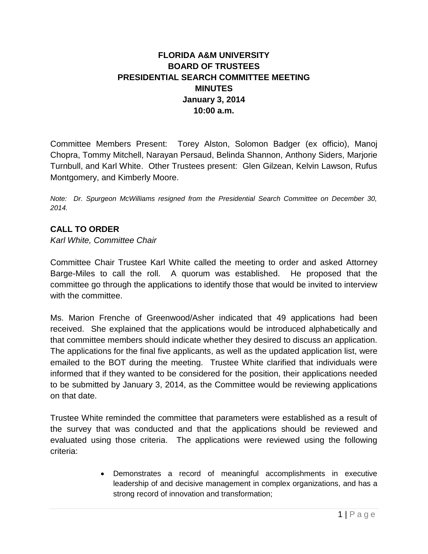## **FLORIDA A&M UNIVERSITY BOARD OF TRUSTEES PRESIDENTIAL SEARCH COMMITTEE MEETING MINUTES January 3, 2014 10:00 a.m.**

Committee Members Present: Torey Alston, Solomon Badger (ex officio), Manoj Chopra, Tommy Mitchell, Narayan Persaud, Belinda Shannon, Anthony Siders, Marjorie Turnbull, and Karl White. Other Trustees present: Glen Gilzean, Kelvin Lawson, Rufus Montgomery, and Kimberly Moore.

*Note: Dr. Spurgeon McWilliams resigned from the Presidential Search Committee on December 30, 2014.* 

## **CALL TO ORDER**

*Karl White, Committee Chair*

Committee Chair Trustee Karl White called the meeting to order and asked Attorney Barge-Miles to call the roll. A quorum was established. He proposed that the committee go through the applications to identify those that would be invited to interview with the committee.

Ms. Marion Frenche of Greenwood/Asher indicated that 49 applications had been received. She explained that the applications would be introduced alphabetically and that committee members should indicate whether they desired to discuss an application. The applications for the final five applicants, as well as the updated application list, were emailed to the BOT during the meeting. Trustee White clarified that individuals were informed that if they wanted to be considered for the position, their applications needed to be submitted by January 3, 2014, as the Committee would be reviewing applications on that date.

Trustee White reminded the committee that parameters were established as a result of the survey that was conducted and that the applications should be reviewed and evaluated using those criteria. The applications were reviewed using the following criteria:

> Demonstrates a record of meaningful accomplishments in executive leadership of and decisive management in complex organizations, and has a strong record of innovation and transformation;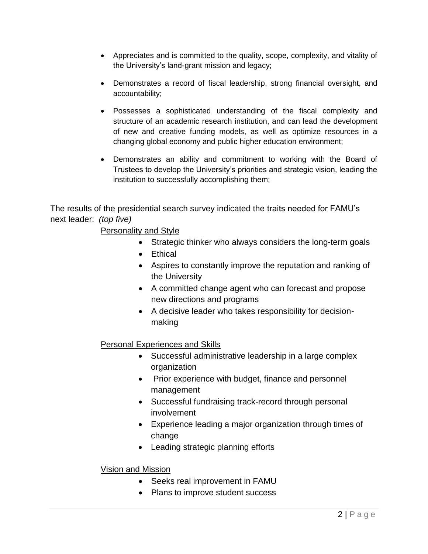- Appreciates and is committed to the quality, scope, complexity, and vitality of the University's land-grant mission and legacy;
- Demonstrates a record of fiscal leadership, strong financial oversight, and accountability;
- Possesses a sophisticated understanding of the fiscal complexity and structure of an academic research institution, and can lead the development of new and creative funding models, as well as optimize resources in a changing global economy and public higher education environment;
- Demonstrates an ability and commitment to working with the Board of Trustees to develop the University's priorities and strategic vision, leading the institution to successfully accomplishing them;

The results of the presidential search survey indicated the traits needed for FAMU's next leader: *(top five)*

Personality and Style

- Strategic thinker who always considers the long-term goals
- Ethical
- Aspires to constantly improve the reputation and ranking of the University
- A committed change agent who can forecast and propose new directions and programs
- A decisive leader who takes responsibility for decisionmaking

## Personal Experiences and Skills

- Successful administrative leadership in a large complex organization
- Prior experience with budget, finance and personnel management
- Successful fundraising track-record through personal involvement
- Experience leading a major organization through times of change
- Leading strategic planning efforts

## Vision and Mission

- Seeks real improvement in FAMU
- Plans to improve student success